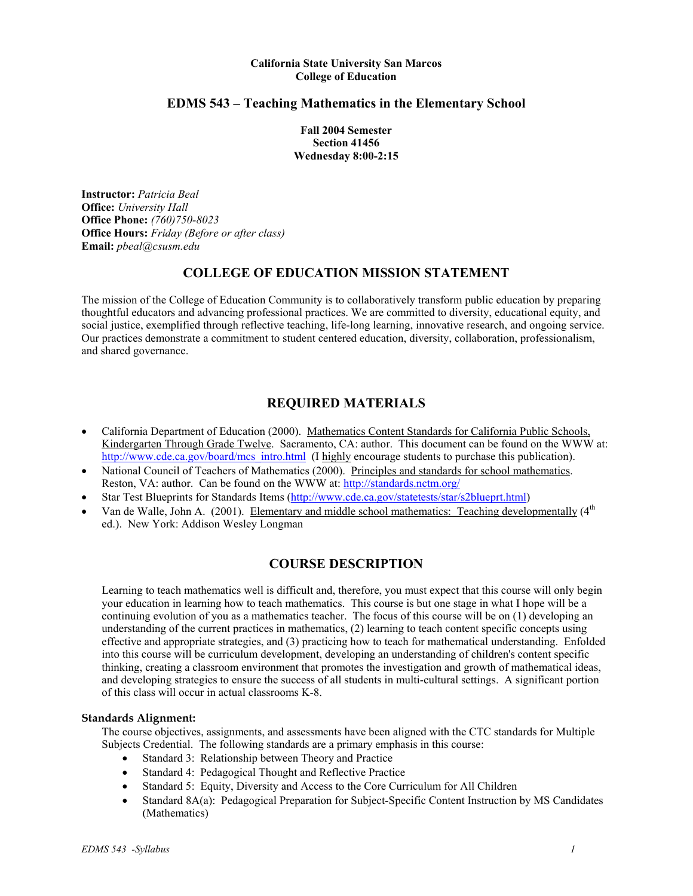#### **California State University San Marcos College of Education**

## **EDMS 543 – Teaching Mathematics in the Elementary School**

**Fall 2004 Semester Section 41456 Wednesday 8:00-2:15** 

**Instructor:** *Patricia Beal* **Office:** *University Hall*  **Office Phone:** *(760)750-8023* **Office Hours:** *Friday (Before or after class)* **Email:** *pbeal@csusm.edu*

# **COLLEGE OF EDUCATION MISSION STATEMENT**

The mission of the College of Education Community is to collaboratively transform public education by preparing thoughtful educators and advancing professional practices. We are committed to diversity, educational equity, and social justice, exemplified through reflective teaching, life-long learning, innovative research, and ongoing service. Our practices demonstrate a commitment to student centered education, diversity, collaboration, professionalism, and shared governance.

# **REQUIRED MATERIALS**

- California Department of Education (2000). Mathematics Content Standards for California Public Schools, Kindergarten Through Grade Twelve. Sacramento, CA: author. This document can be found on the WWW at: http://www.cde.ca.gov/board/mcs\_intro.html (I highly encourage students to purchase this publication).
- National Council of Teachers of Mathematics (2000). Principles and standards for school mathematics. Reston, VA: author. Can be found on the WWW at: http://standards.nctm.org/
- Star Test Blueprints for Standards Items (http://www.cde.ca.gov/statetests/star/s2blueprt.html)
- Van de Walle, John A. (2001). Elementary and middle school mathematics: Teaching developmentally  $(4<sup>th</sup>$ ed.). New York: Addison Wesley Longman

## **COURSE DESCRIPTION**

Learning to teach mathematics well is difficult and, therefore, you must expect that this course will only begin your education in learning how to teach mathematics. This course is but one stage in what I hope will be a continuing evolution of you as a mathematics teacher. The focus of this course will be on (1) developing an understanding of the current practices in mathematics, (2) learning to teach content specific concepts using effective and appropriate strategies, and (3) practicing how to teach for mathematical understanding. Enfolded into this course will be curriculum development, developing an understanding of children's content specific thinking, creating a classroom environment that promotes the investigation and growth of mathematical ideas, and developing strategies to ensure the success of all students in multi-cultural settings. A significant portion of this class will occur in actual classrooms K-8.

### **Standards Alignment:**

The course objectives, assignments, and assessments have been aligned with the CTC standards for Multiple Subjects Credential. The following standards are a primary emphasis in this course:

- Standard 3: Relationship between Theory and Practice
- Standard 4: Pedagogical Thought and Reflective Practice
- Standard 5: Equity, Diversity and Access to the Core Curriculum for All Children
- Standard 8A(a): Pedagogical Preparation for Subject-Specific Content Instruction by MS Candidates (Mathematics)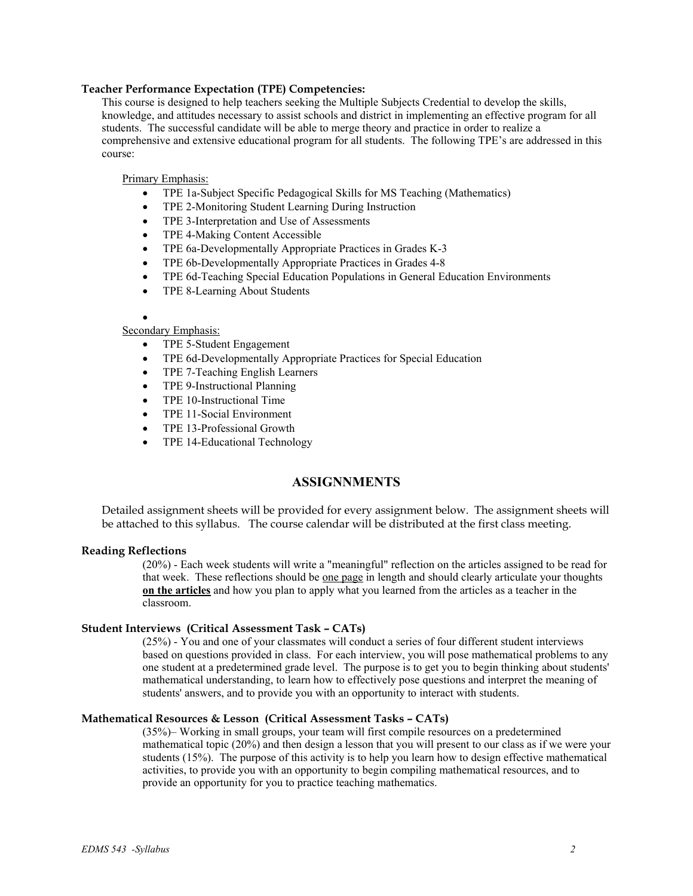### **Teacher Performance Expectation (TPE) Competencies:**

This course is designed to help teachers seeking the Multiple Subjects Credential to develop the skills, knowledge, and attitudes necessary to assist schools and district in implementing an effective program for all students. The successful candidate will be able to merge theory and practice in order to realize a comprehensive and extensive educational program for all students. The following TPE's are addressed in this course:

Primary Emphasis:

- TPE 1a-Subject Specific Pedagogical Skills for MS Teaching (Mathematics)
- TPE 2-Monitoring Student Learning During Instruction
- TPE 3-Interpretation and Use of Assessments
- TPE 4-Making Content Accessible
- TPE 6a-Developmentally Appropriate Practices in Grades K-3
- TPE 6b-Developmentally Appropriate Practices in Grades 4-8
- TPE 6d-Teaching Special Education Populations in General Education Environments
- TPE 8-Learning About Students

#### •

### Secondary Emphasis:

- TPE 5-Student Engagement
- TPE 6d-Developmentally Appropriate Practices for Special Education
- TPE 7-Teaching English Learners
- TPE 9-Instructional Planning
- TPE 10-Instructional Time
- TPE 11-Social Environment
- TPE 13-Professional Growth
- TPE 14-Educational Technology

## **ASSIGNNMENTS**

Detailed assignment sheets will be provided for every assignment below. The assignment sheets will be attached to this syllabus. The course calendar will be distributed at the first class meeting.

#### **Reading Reflections**

(20%) - Each week students will write a "meaningful" reflection on the articles assigned to be read for that week. These reflections should be one page in length and should clearly articulate your thoughts **on the articles** and how you plan to apply what you learned from the articles as a teacher in the classroom.

### **Student Interviews (Critical Assessment Task – CATs)**

(25%) - You and one of your classmates will conduct a series of four different student interviews based on questions provided in class. For each interview, you will pose mathematical problems to any one student at a predetermined grade level. The purpose is to get you to begin thinking about students' mathematical understanding, to learn how to effectively pose questions and interpret the meaning of students' answers, and to provide you with an opportunity to interact with students.

#### **Mathematical Resources & Lesson (Critical Assessment Tasks – CATs)**

(35%)– Working in small groups, your team will first compile resources on a predetermined mathematical topic (20%) and then design a lesson that you will present to our class as if we were your students (15%). The purpose of this activity is to help you learn how to design effective mathematical activities, to provide you with an opportunity to begin compiling mathematical resources, and to provide an opportunity for you to practice teaching mathematics.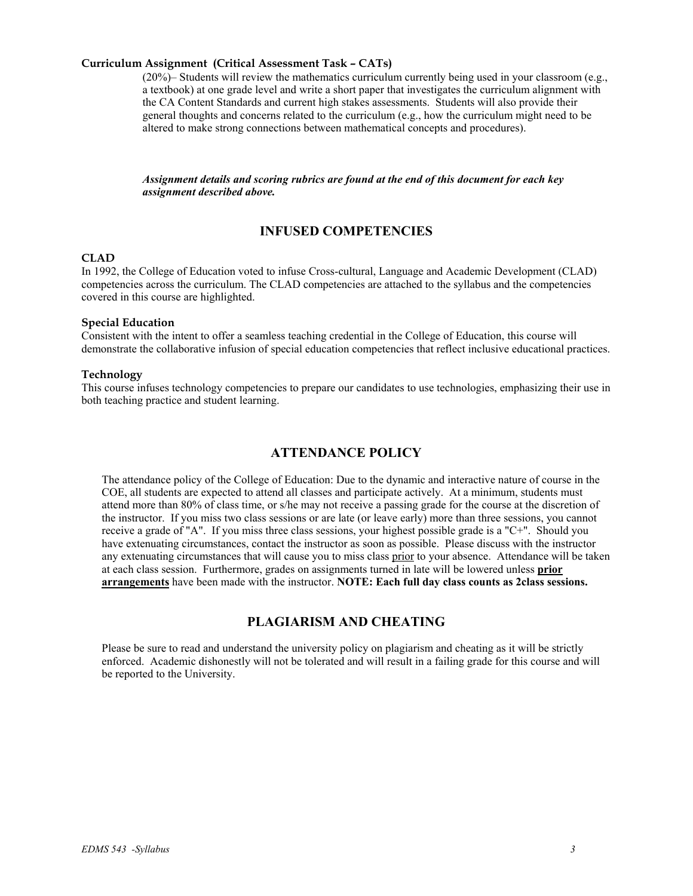#### **Curriculum Assignment (Critical Assessment Task – CATs)**

(20%)– Students will review the mathematics curriculum currently being used in your classroom (e.g., a textbook) at one grade level and write a short paper that investigates the curriculum alignment with the CA Content Standards and current high stakes assessments. Students will also provide their general thoughts and concerns related to the curriculum (e.g., how the curriculum might need to be altered to make strong connections between mathematical concepts and procedures).

*Assignment details and scoring rubrics are found at the end of this document for each key assignment described above.* 

## **INFUSED COMPETENCIES**

## **CLAD**

In 1992, the College of Education voted to infuse Cross-cultural, Language and Academic Development (CLAD) competencies across the curriculum. The CLAD competencies are attached to the syllabus and the competencies covered in this course are highlighted.

#### **Special Education**

Consistent with the intent to offer a seamless teaching credential in the College of Education, this course will demonstrate the collaborative infusion of special education competencies that reflect inclusive educational practices.

#### **Technology**

This course infuses technology competencies to prepare our candidates to use technologies, emphasizing their use in both teaching practice and student learning.

### **ATTENDANCE POLICY**

The attendance policy of the College of Education: Due to the dynamic and interactive nature of course in the COE, all students are expected to attend all classes and participate actively. At a minimum, students must attend more than 80% of class time, or s/he may not receive a passing grade for the course at the discretion of the instructor. If you miss two class sessions or are late (or leave early) more than three sessions, you cannot receive a grade of "A". If you miss three class sessions, your highest possible grade is a "C+". Should you have extenuating circumstances, contact the instructor as soon as possible. Please discuss with the instructor any extenuating circumstances that will cause you to miss class prior to your absence. Attendance will be taken at each class session. Furthermore, grades on assignments turned in late will be lowered unless **prior arrangements** have been made with the instructor. **NOTE: Each full day class counts as 2class sessions.**

### **PLAGIARISM AND CHEATING**

Please be sure to read and understand the university policy on plagiarism and cheating as it will be strictly enforced. Academic dishonestly will not be tolerated and will result in a failing grade for this course and will be reported to the University.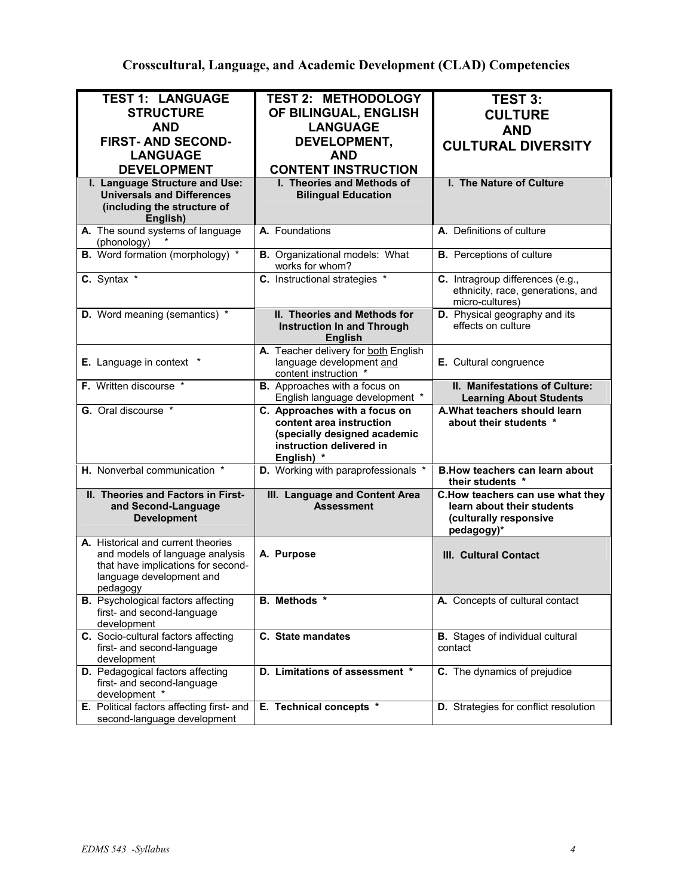**Crosscultural, Language, and Academic Development (CLAD) Competencies**

| <b>TEST 1: LANGUAGE</b><br><b>STRUCTURE</b><br><b>AND</b><br><b>FIRST- AND SECOND-</b><br><b>LANGUAGE</b>                                           | <b>TEST 2: METHODOLOGY</b><br>OF BILINGUAL, ENGLISH<br><b>LANGUAGE</b><br>DEVELOPMENT,<br><b>AND</b> | <b>TEST 3:</b><br><b>CULTURE</b><br><b>AND</b><br><b>CULTURAL DIVERSITY</b>                            |
|-----------------------------------------------------------------------------------------------------------------------------------------------------|------------------------------------------------------------------------------------------------------|--------------------------------------------------------------------------------------------------------|
| <b>DEVELOPMENT</b><br>I. Language Structure and Use:<br><b>Universals and Differences</b><br>(including the structure of<br>English)                | <b>CONTENT INSTRUCTION</b><br>I. Theories and Methods of<br><b>Bilingual Education</b>               | I. The Nature of Culture                                                                               |
| A. The sound systems of language<br>(phonology)                                                                                                     | A. Foundations                                                                                       | A. Definitions of culture                                                                              |
| B. Word formation (morphology) *                                                                                                                    | <b>B.</b> Organizational models: What<br>works for whom?                                             | <b>B.</b> Perceptions of culture                                                                       |
| C. Syntax *                                                                                                                                         | C. Instructional strategies *                                                                        | C. Intragroup differences (e.g.,<br>ethnicity, race, generations, and<br>micro-cultures)               |
| D. Word meaning (semantics) *                                                                                                                       | II. Theories and Methods for<br><b>Instruction In and Through</b><br><b>English</b>                  | D. Physical geography and its<br>effects on culture                                                    |
| E. Language in context *                                                                                                                            | A. Teacher delivery for both English<br>language development and<br>content instruction *            | E. Cultural congruence                                                                                 |
| F. Written discourse *                                                                                                                              | <b>B.</b> Approaches with a focus on<br>English language development *                               | II. Manifestations of Culture:<br><b>Learning About Students</b>                                       |
| G. Oral discourse *                                                                                                                                 | C. Approaches with a focus on                                                                        | A. What teachers should learn                                                                          |
|                                                                                                                                                     | content area instruction<br>(specially designed academic<br>instruction delivered in<br>English) *   | about their students *                                                                                 |
| H. Nonverbal communication *                                                                                                                        | D. Working with paraprofessionals *                                                                  | <b>B.How teachers can learn about</b><br>their students *                                              |
| II. Theories and Factors in First-<br>and Second-Language<br><b>Development</b>                                                                     | <b>III. Language and Content Area</b><br><b>Assessment</b>                                           | C.How teachers can use what they<br>learn about their students<br>(culturally responsive<br>pedagogy)* |
| A. Historical and current theories<br>and models of language analysis<br>that have implications for second-<br>language development and<br>pedagogy | A. Purpose                                                                                           | III. Cultural Contact                                                                                  |
| <b>B.</b> Psychological factors affecting<br>first- and second-language<br>development                                                              | B. Methods *                                                                                         | A. Concepts of cultural contact                                                                        |
| C. Socio-cultural factors affecting<br>first- and second-language<br>development                                                                    | C. State mandates                                                                                    | <b>B.</b> Stages of individual cultural<br>contact                                                     |
| D. Pedagogical factors affecting<br>first- and second-language<br>development *<br>E. Political factors affecting first- and                        | D. Limitations of assessment *                                                                       | C. The dynamics of prejudice                                                                           |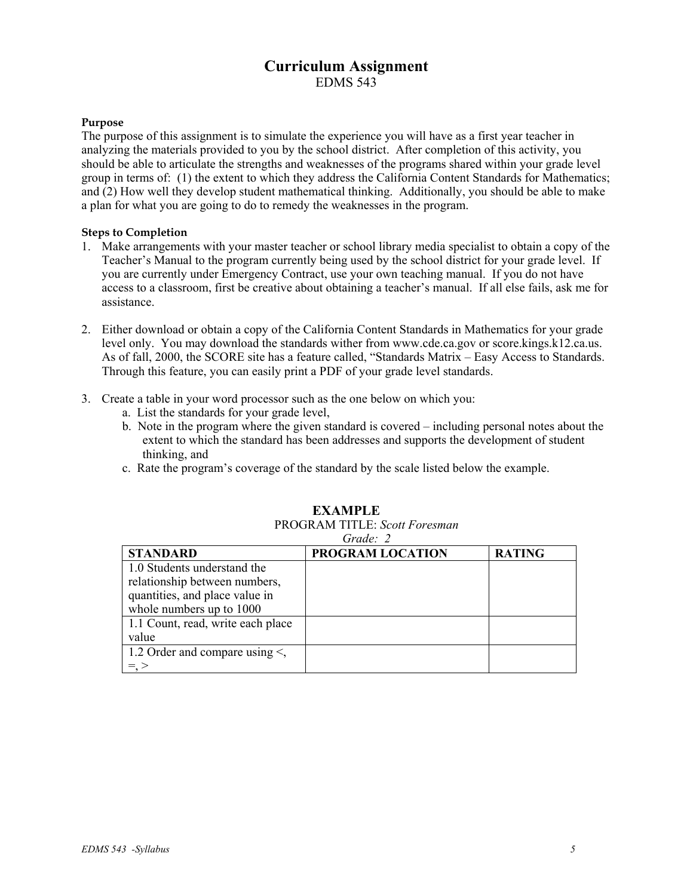# **Curriculum Assignment**  EDMS 543

### **Purpose**

The purpose of this assignment is to simulate the experience you will have as a first year teacher in analyzing the materials provided to you by the school district. After completion of this activity, you should be able to articulate the strengths and weaknesses of the programs shared within your grade level group in terms of: (1) the extent to which they address the California Content Standards for Mathematics; and (2) How well they develop student mathematical thinking. Additionally, you should be able to make a plan for what you are going to do to remedy the weaknesses in the program.

### **Steps to Completion**

- 1. Make arrangements with your master teacher or school library media specialist to obtain a copy of the Teacher's Manual to the program currently being used by the school district for your grade level. If you are currently under Emergency Contract, use your own teaching manual. If you do not have access to a classroom, first be creative about obtaining a teacher's manual. If all else fails, ask me for assistance.
- 2. Either download or obtain a copy of the California Content Standards in Mathematics for your grade level only. You may download the standards wither from www.cde.ca.gov or score.kings.k12.ca.us. As of fall, 2000, the SCORE site has a feature called, "Standards Matrix – Easy Access to Standards. Through this feature, you can easily print a PDF of your grade level standards.
- 3. Create a table in your word processor such as the one below on which you:
	- a. List the standards for your grade level,
	- b. Note in the program where the given standard is covered including personal notes about the extent to which the standard has been addresses and supports the development of student thinking, and
	- c. Rate the program's coverage of the standard by the scale listed below the example.

| Grade: 2                            |                         |               |  |  |
|-------------------------------------|-------------------------|---------------|--|--|
| <b>STANDARD</b>                     | <b>PROGRAM LOCATION</b> | <b>RATING</b> |  |  |
| 1.0 Students understand the         |                         |               |  |  |
| relationship between numbers,       |                         |               |  |  |
| quantities, and place value in      |                         |               |  |  |
| whole numbers up to 1000            |                         |               |  |  |
| 1.1 Count, read, write each place   |                         |               |  |  |
| value                               |                         |               |  |  |
| 1.2 Order and compare using $\le$ , |                         |               |  |  |
|                                     |                         |               |  |  |

# **EXAMPLE**

PROGRAM TITLE: *Scott Foresman* 

*EDMS 543 -Syllabus 5*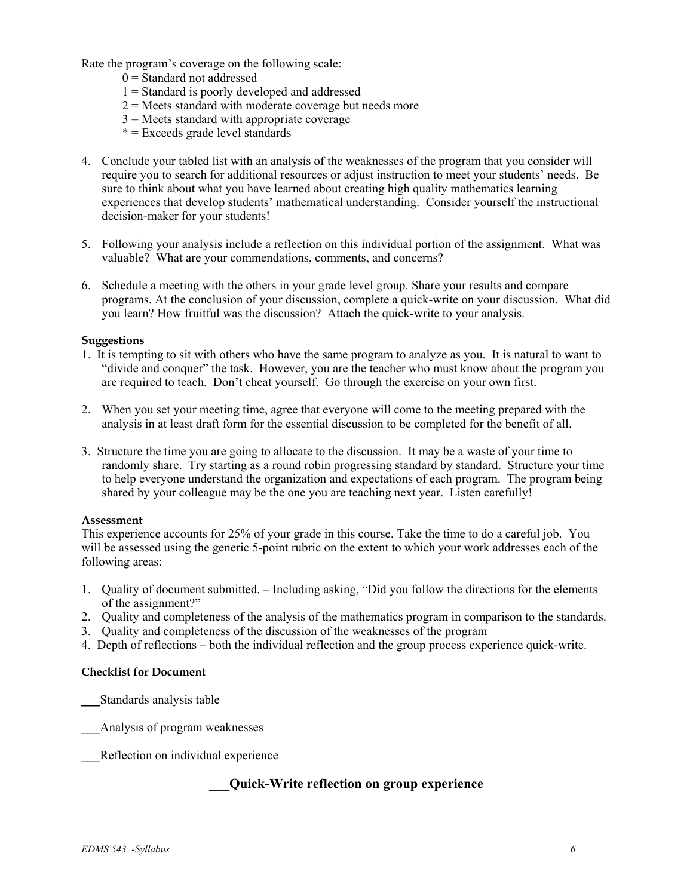Rate the program's coverage on the following scale:

- $0 =$ Standard not addressed
- 1 = Standard is poorly developed and addressed
- $2$  = Meets standard with moderate coverage but needs more
- $3$  = Meets standard with appropriate coverage
- $* =$  Exceeds grade level standards
- 4. Conclude your tabled list with an analysis of the weaknesses of the program that you consider will require you to search for additional resources or adjust instruction to meet your students' needs. Be sure to think about what you have learned about creating high quality mathematics learning experiences that develop students' mathematical understanding. Consider yourself the instructional decision-maker for your students!
- 5. Following your analysis include a reflection on this individual portion of the assignment. What was valuable? What are your commendations, comments, and concerns?
- 6. Schedule a meeting with the others in your grade level group. Share your results and compare programs. At the conclusion of your discussion, complete a quick-write on your discussion. What did you learn? How fruitful was the discussion? Attach the quick-write to your analysis.

### **Suggestions**

- 1. It is tempting to sit with others who have the same program to analyze as you. It is natural to want to "divide and conquer" the task. However, you are the teacher who must know about the program you are required to teach. Don't cheat yourself. Go through the exercise on your own first.
- 2. When you set your meeting time, agree that everyone will come to the meeting prepared with the analysis in at least draft form for the essential discussion to be completed for the benefit of all.
- 3. Structure the time you are going to allocate to the discussion. It may be a waste of your time to randomly share. Try starting as a round robin progressing standard by standard. Structure your time to help everyone understand the organization and expectations of each program. The program being shared by your colleague may be the one you are teaching next year. Listen carefully!

### **Assessment**

This experience accounts for 25% of your grade in this course. Take the time to do a careful job. You will be assessed using the generic 5-point rubric on the extent to which your work addresses each of the following areas:

- 1. Quality of document submitted. Including asking, "Did you follow the directions for the elements of the assignment?"
- 2. Quality and completeness of the analysis of the mathematics program in comparison to the standards.
- 3. Quality and completeness of the discussion of the weaknesses of the program
- 4. Depth of reflections both the individual reflection and the group process experience quick-write.

### **Checklist for Document**

\_\_\_Standards analysis table

\_\_\_Analysis of program weaknesses

Reflection on individual experience

# **\_\_\_Quick-Write reflection on group experience**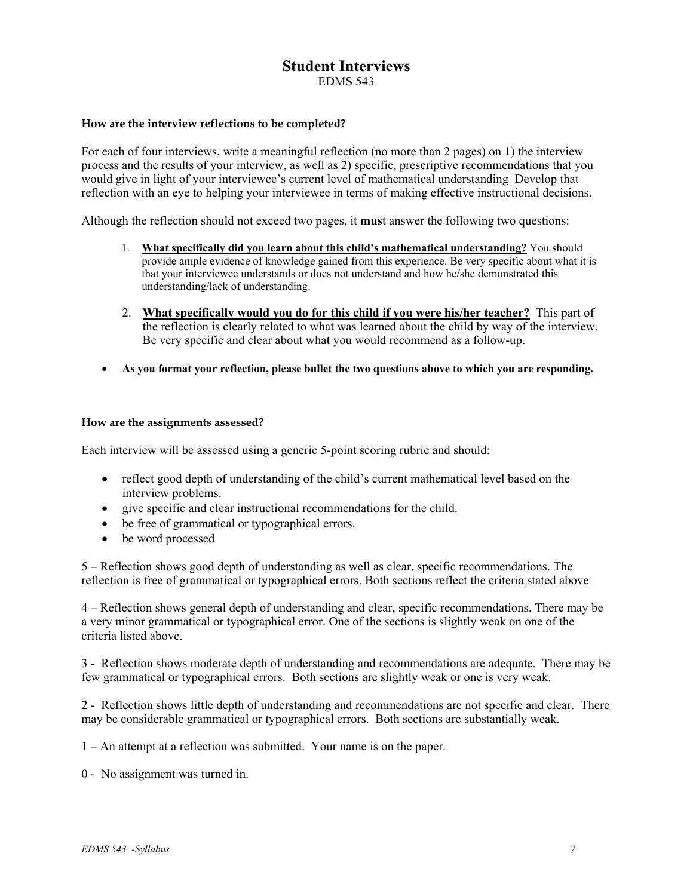# **Student Interviews**  EDMS 543

### **How are the interview reflections to be completed?**

For each of four interviews, write a meaningful reflection (no more than 2 pages) on 1) the interview process and the results of your interview, as well as 2) specific, prescriptive recommendations that you would give in light of your interviewee's current level of mathematical understanding Develop that reflection with an eye to helping your interviewee in terms of making effective instructional decisions.

Although the reflection should not exceed two pages, it **mus**t answer the following two questions:

- 1. **What specifically did you learn about this child's mathematical understanding?** You should provide ample evidence of knowledge gained from this experience. Be very specific about what it is that your interviewee understands or does not understand and how he/she demonstrated this understanding/lack of understanding.
- 2. **What specifically would you do for this child if you were his/her teacher?** This part of the reflection is clearly related to what was learned about the child by way of the interview. Be very specific and clear about what you would recommend as a follow-up.
- **As you format your reflection, please bullet the two questions above to which you are responding.**

### **How are the assignments assessed?**

Each interview will be assessed using a generic 5-point scoring rubric and should:

- reflect good depth of understanding of the child's current mathematical level based on the interview problems.
- give specific and clear instructional recommendations for the child.
- be free of grammatical or typographical errors.
- be word processed

5 – Reflection shows good depth of understanding as well as clear, specific recommendations. The reflection is free of grammatical or typographical errors. Both sections reflect the criteria stated above

4 – Reflection shows general depth of understanding and clear, specific recommendations. There may be a very minor grammatical or typographical error. One of the sections is slightly weak on one of the criteria listed above.

3 - Reflection shows moderate depth of understanding and recommendations are adequate. There may be few grammatical or typographical errors. Both sections are slightly weak or one is very weak.

2 - Reflection shows little depth of understanding and recommendations are not specific and clear. There may be considerable grammatical or typographical errors. Both sections are substantially weak.

1 – An attempt at a reflection was submitted. Your name is on the paper.

0 - No assignment was turned in.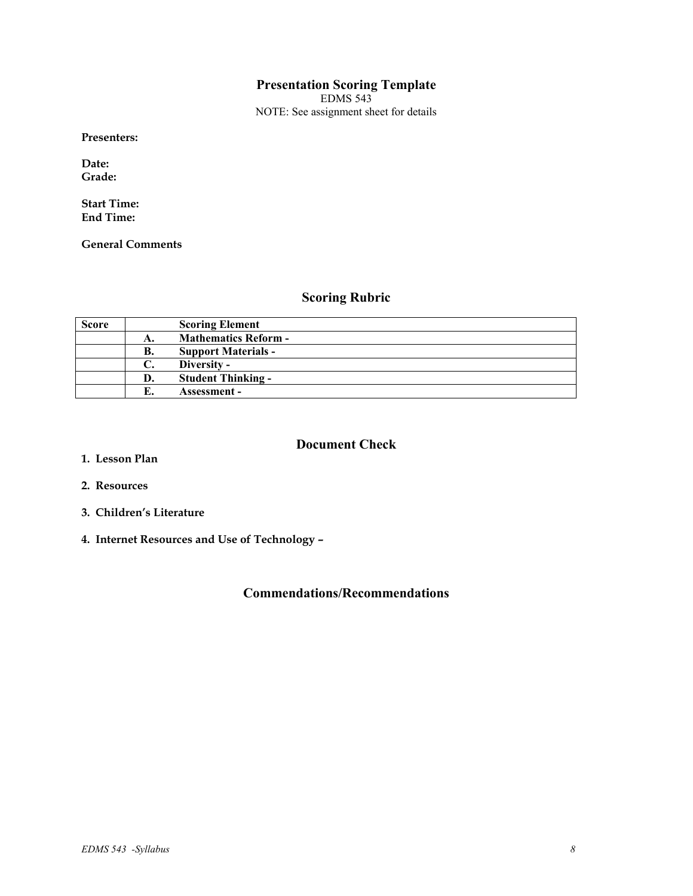# **Presentation Scoring Template**

EDMS 543 NOTE: See assignment sheet for details

**Presenters:** 

**Date: Grade:** 

**Start Time: End Time:** 

**General Comments** 

# **Scoring Rubric**

| <b>Score</b> |    | <b>Scoring Element</b>      |
|--------------|----|-----------------------------|
|              | А. | <b>Mathematics Reform -</b> |
|              | В. | <b>Support Materials -</b>  |
|              |    | Diversity -                 |
|              | D. | <b>Student Thinking -</b>   |
|              |    | <b>Assessment -</b>         |

# **Document Check**

- **1. Lesson Plan**
- **2. Resources**
- **3. Children's Literature**
- **4. Internet Resources and Use of Technology**

# **Commendations/Recommendations**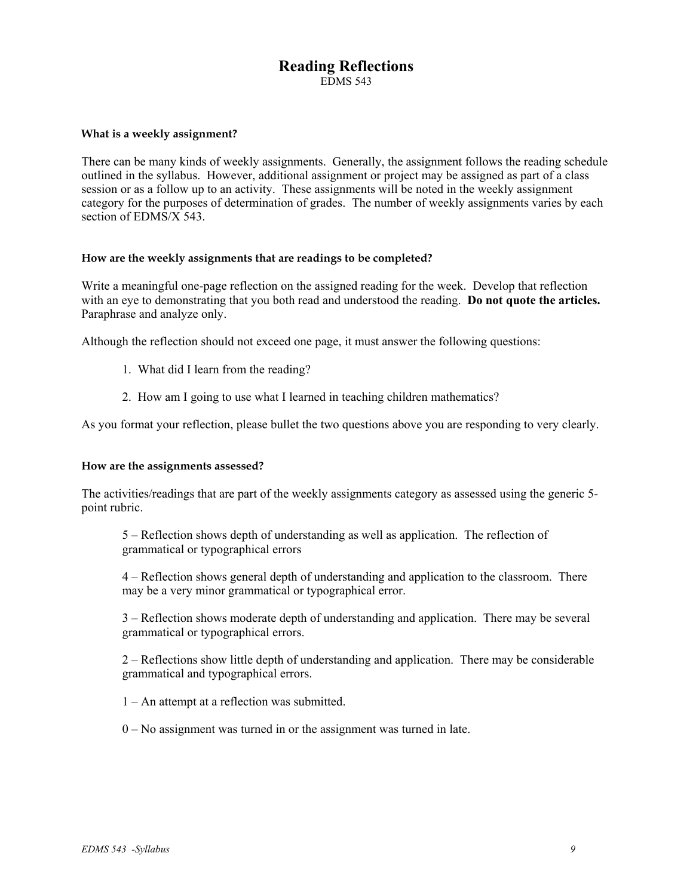# **Reading Reflections**  EDMS 543

### **What is a weekly assignment?**

There can be many kinds of weekly assignments. Generally, the assignment follows the reading schedule outlined in the syllabus. However, additional assignment or project may be assigned as part of a class session or as a follow up to an activity. These assignments will be noted in the weekly assignment category for the purposes of determination of grades. The number of weekly assignments varies by each section of EDMS/X 543.

#### **How are the weekly assignments that are readings to be completed?**

Write a meaningful one-page reflection on the assigned reading for the week. Develop that reflection with an eye to demonstrating that you both read and understood the reading. **Do not quote the articles.** Paraphrase and analyze only.

Although the reflection should not exceed one page, it must answer the following questions:

- 1. What did I learn from the reading?
- 2. How am I going to use what I learned in teaching children mathematics?

As you format your reflection, please bullet the two questions above you are responding to very clearly.

#### **How are the assignments assessed?**

The activities/readings that are part of the weekly assignments category as assessed using the generic 5 point rubric.

5 – Reflection shows depth of understanding as well as application. The reflection of grammatical or typographical errors

4 – Reflection shows general depth of understanding and application to the classroom. There may be a very minor grammatical or typographical error.

3 – Reflection shows moderate depth of understanding and application. There may be several grammatical or typographical errors.

2 – Reflections show little depth of understanding and application. There may be considerable grammatical and typographical errors.

1 – An attempt at a reflection was submitted.

0 – No assignment was turned in or the assignment was turned in late.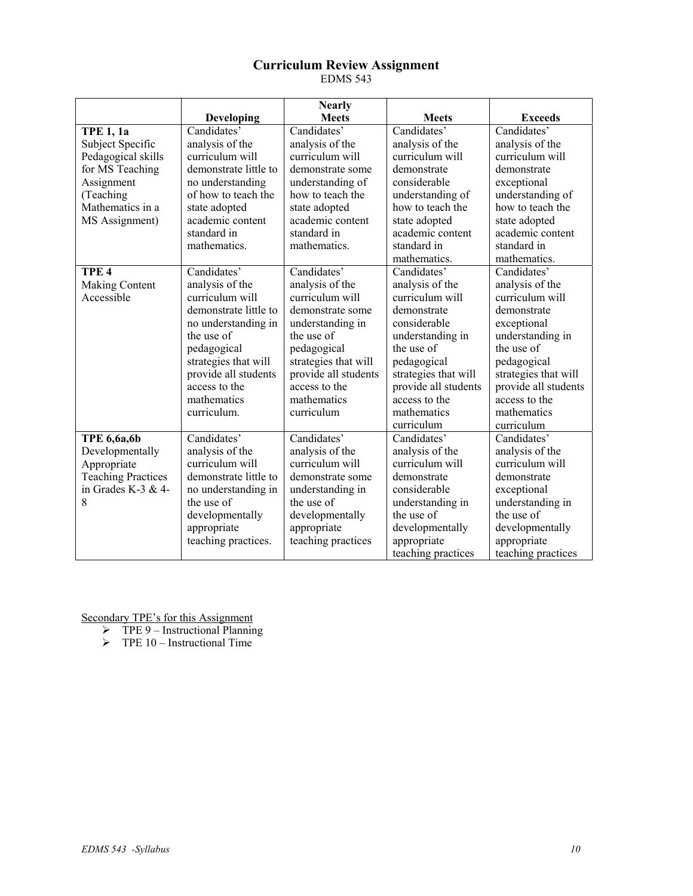## **Curriculum Review Assignment**  EDMS 543

|                           |                       | <b>Nearly</b>        |                      |                      |
|---------------------------|-----------------------|----------------------|----------------------|----------------------|
|                           | <b>Developing</b>     | <b>Meets</b>         | <b>Meets</b>         | <b>Exceeds</b>       |
| <b>TPE 1, 1a</b>          | Candidates'           | Candidates'          | Candidates'          | Candidates'          |
| Subject Specific          | analysis of the       | analysis of the      | analysis of the      | analysis of the      |
| Pedagogical skills        | curriculum will       | curriculum will      | curriculum will      | curriculum will      |
| for MS Teaching           | demonstrate little to | demonstrate some     | demonstrate          | demonstrate          |
| Assignment                | no understanding      | understanding of     | considerable         | exceptional          |
| (Teaching                 | of how to teach the   | how to teach the     | understanding of     | understanding of     |
| Mathematics in a          | state adopted         | state adopted        | how to teach the     | how to teach the     |
| MS Assignment)            | academic content      | academic content     | state adopted        | state adopted        |
|                           | standard in           | standard in          | academic content     | academic content     |
|                           | mathematics.          | mathematics.         | standard in          | standard in          |
|                           |                       |                      | mathematics.         | mathematics.         |
| TPE <sub>4</sub>          | Candidates'           | Candidates'          | Candidates'          | Candidates'          |
| Making Content            | analysis of the       | analysis of the      | analysis of the      | analysis of the      |
| Accessible                | curriculum will       | curriculum will      | curriculum will      | curriculum will      |
|                           | demonstrate little to | demonstrate some     | demonstrate          | demonstrate          |
|                           | no understanding in   | understanding in     | considerable         | exceptional          |
|                           | the use of            | the use of           | understanding in     | understanding in     |
|                           | pedagogical           | pedagogical          | the use of           | the use of           |
|                           | strategies that will  | strategies that will | pedagogical          | pedagogical          |
|                           | provide all students  | provide all students | strategies that will | strategies that will |
|                           | access to the         | access to the        | provide all students | provide all students |
|                           | mathematics           | mathematics          | access to the        | access to the        |
|                           | curriculum.           | curriculum           | mathematics          | mathematics          |
|                           |                       |                      | curriculum           | curriculum           |
| <b>TPE 6,6a,6b</b>        | Candidates'           | Candidates'          | Candidates'          | Candidates'          |
| Developmentally           | analysis of the       | analysis of the      | analysis of the      | analysis of the      |
| Appropriate               | curriculum will       | curriculum will      | curriculum will      | curriculum will      |
| <b>Teaching Practices</b> | demonstrate little to | demonstrate some     | demonstrate          | demonstrate          |
| in Grades K-3 $&4$ -      | no understanding in   | understanding in     | considerable         | exceptional          |
| 8                         | the use of            | the use of           | understanding in     | understanding in     |
|                           | developmentally       | developmentally      | the use of           | the use of           |
|                           | appropriate           | appropriate          | developmentally      | developmentally      |
|                           | teaching practices.   | teaching practices   | appropriate          | appropriate          |
|                           |                       |                      | teaching practices   | teaching practices   |

Secondary TPE's for this Assignment

 $\triangleright$  TPE 9 – Instructional Planning

 $\triangleright$  TPE 10 – Instructional Time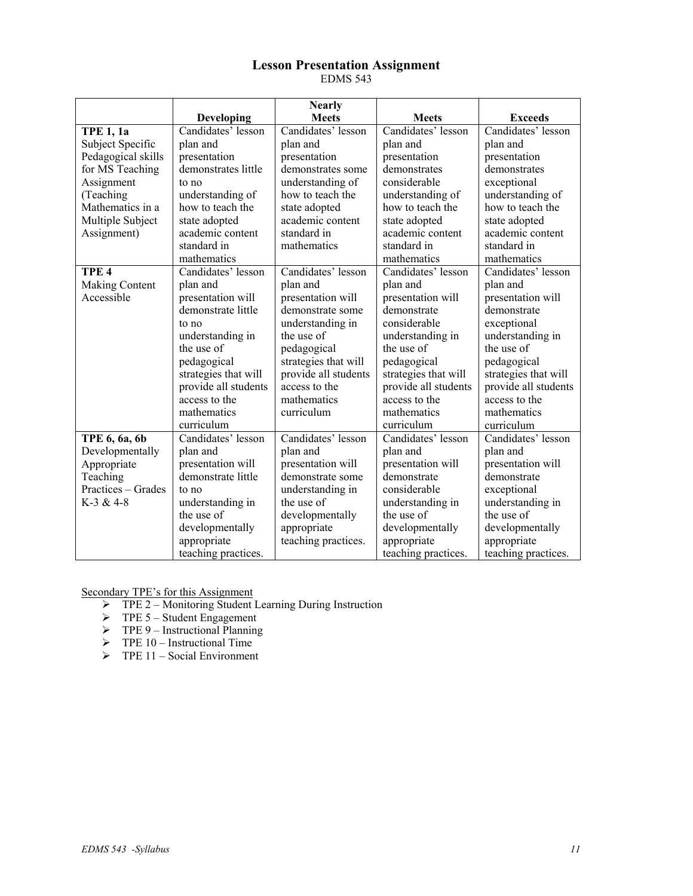### **Lesson Presentation Assignment**  EDMS 543

|                    |                      | <b>Nearly</b>        |                      |                      |
|--------------------|----------------------|----------------------|----------------------|----------------------|
|                    | Developing           | <b>Meets</b>         | <b>Meets</b>         | <b>Exceeds</b>       |
| <b>TPE 1, 1a</b>   | Candidates' lesson   | Candidates' lesson   | Candidates' lesson   | Candidates' lesson   |
| Subject Specific   | plan and             | plan and             | plan and             | plan and             |
| Pedagogical skills | presentation         | presentation         | presentation         | presentation         |
| for MS Teaching    | demonstrates little  | demonstrates some    | demonstrates         | demonstrates         |
| Assignment         | to no                | understanding of     | considerable         | exceptional          |
| (Teaching          | understanding of     | how to teach the     | understanding of     | understanding of     |
| Mathematics in a   | how to teach the     | state adopted        | how to teach the     | how to teach the     |
| Multiple Subject   | state adopted        | academic content     | state adopted        | state adopted        |
| Assignment)        | academic content     | standard in          | academic content     | academic content     |
|                    | standard in          | mathematics          | standard in          | standard in          |
|                    | mathematics          |                      | mathematics          | mathematics          |
| TPE <sub>4</sub>   | Candidates' lesson   | Candidates' lesson   | Candidates' lesson   | Candidates' lesson   |
| Making Content     | plan and             | plan and             | plan and             | plan and             |
| Accessible         | presentation will    | presentation will    | presentation will    | presentation will    |
|                    | demonstrate little   | demonstrate some     | demonstrate          | demonstrate          |
|                    | to no                | understanding in     | considerable         | exceptional          |
|                    | understanding in     | the use of           | understanding in     | understanding in     |
|                    | the use of           | pedagogical          | the use of           | the use of           |
|                    | pedagogical          | strategies that will | pedagogical          | pedagogical          |
|                    | strategies that will | provide all students | strategies that will | strategies that will |
|                    | provide all students | access to the        | provide all students | provide all students |
|                    | access to the        | mathematics          | access to the        | access to the        |
|                    | mathematics          | curriculum           | mathematics          | mathematics          |
|                    | curriculum           |                      | curriculum           | curriculum           |
| TPE 6, 6a, 6b      | Candidates' lesson   | Candidates' lesson   | Candidates' lesson   | Candidates' lesson   |
| Developmentally    | plan and             | plan and             | plan and             | plan and             |
| Appropriate        | presentation will    | presentation will    | presentation will    | presentation will    |
| Teaching           | demonstrate little   | demonstrate some     | demonstrate          | demonstrate          |
| Practices - Grades | to no                | understanding in     | considerable         | exceptional          |
| K-3 & 4-8          | understanding in     | the use of           | understanding in     | understanding in     |
|                    | the use of           | developmentally      | the use of           | the use of           |
|                    | developmentally      | appropriate          | developmentally      | developmentally      |
|                    | appropriate          | teaching practices.  | appropriate          | appropriate          |
|                    | teaching practices.  |                      | teaching practices.  | teaching practices.  |

Secondary TPE's for this Assignment

- ¾ TPE 2 Monitoring Student Learning During Instruction
- $\triangleright$  TPE 5 Student Engagement
- $\triangleright$  TPE 9 Instructional Planning
- $\triangleright$  TPE 10 Instructional Time
- $\triangleright$  TPE 11 Social Environment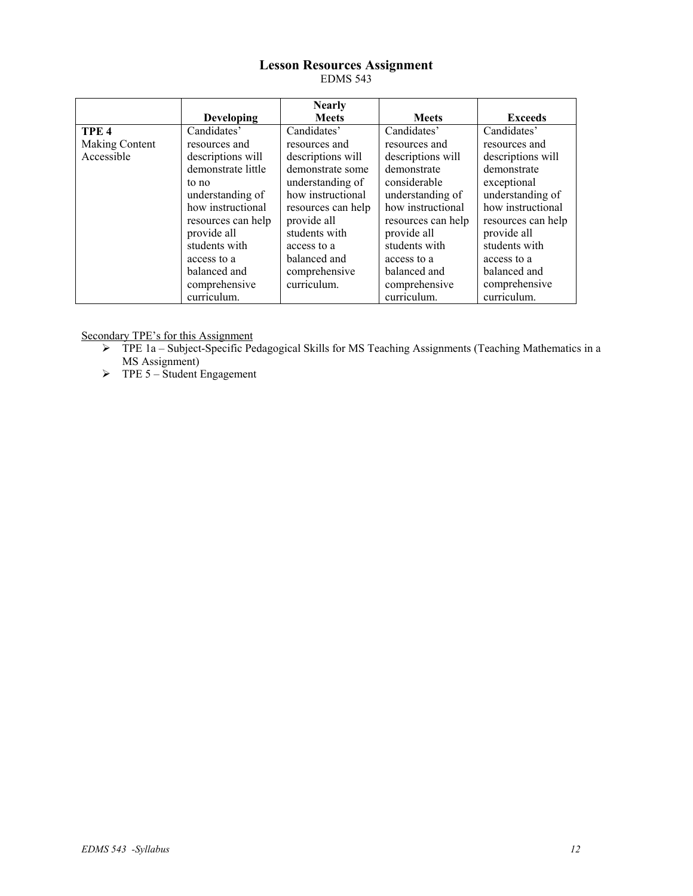## **Lesson Resources Assignment**  EDMS 543

|                  |                    | <b>Nearly</b>      |                    |                    |
|------------------|--------------------|--------------------|--------------------|--------------------|
|                  | <b>Developing</b>  | <b>Meets</b>       | <b>Meets</b>       | <b>Exceeds</b>     |
| TPE <sub>4</sub> | Candidates'        | Candidates'        | Candidates'        | Candidates'        |
| Making Content   | resources and      | resources and      | resources and      | resources and      |
| Accessible       | descriptions will  | descriptions will  | descriptions will  | descriptions will  |
|                  | demonstrate little | demonstrate some   | demonstrate        | demonstrate        |
|                  | to no              | understanding of   | considerable       | exceptional        |
|                  | understanding of   | how instructional  | understanding of   | understanding of   |
|                  | how instructional  | resources can help | how instructional  | how instructional  |
|                  | resources can help | provide all        | resources can help | resources can help |
|                  | provide all        | students with      | provide all        | provide all        |
|                  | students with      | access to a        | students with      | students with      |
|                  | access to a        | balanced and       | access to a        | access to a        |
|                  | balanced and       | comprehensive      | balanced and       | balanced and       |
|                  | comprehensive      | curriculum.        | comprehensive      | comprehensive      |
|                  | curriculum.        |                    | curriculum.        | curriculum.        |

Secondary TPE's for this Assignment

- ¾ TPE 1a Subject-Specific Pedagogical Skills for MS Teaching Assignments (Teaching Mathematics in a MS Assignment)
- $\triangleright$  TPE 5 Student Engagement